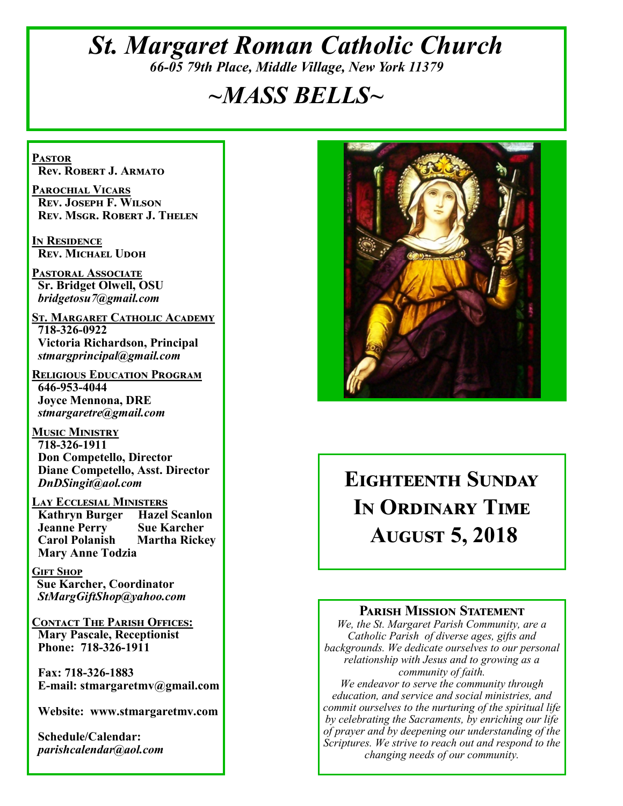# *St. Margaret Roman Catholic Church 66-05 79th Place, Middle Village, New York 11379*

# *~MASS BELLS~*

**Pastor Rev. Robert J. Armato**

**Parochial Vicars Rev. Joseph F. Wilson Rev. Msgr. Robert J. Thelen**

**In Residence Rev. Michael Udoh**

**Pastoral Associate Sr. Bridget Olwell, OSU**  *bridgetosu7@gmail.com*

**St. Margaret Catholic Academy 718-326-0922 Victoria Richardson, Principal**  *stmargprincipal@gmail.com*

**Religious Education Program 646-953-4044 Joyce Mennona, DRE** *stmargaretre@gmail.com*

**Music Ministry 718-326-1911 Don Competello, Director Diane Competello, Asst. Director** *DnDSingit@aol.com*

**Lay Ecclesial Ministers Kathryn Burger Jeanne Perry Sue Karcher Carol Polanish Martha Rickey Mary Anne Todzia**

**Gift Shop Sue Karcher, Coordinator** *StMargGiftShop@yahoo.com*

**Contact The Parish Offices: Mary Pascale, Receptionist Phone: 718-326-1911** 

 **Fax: 718-326-1883 E-mail: stmargaretmv@gmail.com**

 **Website: www.stmargaretmv.com**

 **Schedule/Calendar:** *parishcalendar@aol.com* 



# **Eighteenth Sunday In Ordinary Time August 5, 2018**

#### **Parish Mission Statement**

*We, the St. Margaret Parish Community, are a Catholic Parish of diverse ages, gifts and backgrounds. We dedicate ourselves to our personal relationship with Jesus and to growing as a community of faith.*

*We endeavor to serve the community through education, and service and social ministries, and commit ourselves to the nurturing of the spiritual life by celebrating the Sacraments, by enriching our life of prayer and by deepening our understanding of the Scriptures. We strive to reach out and respond to the changing needs of our community.*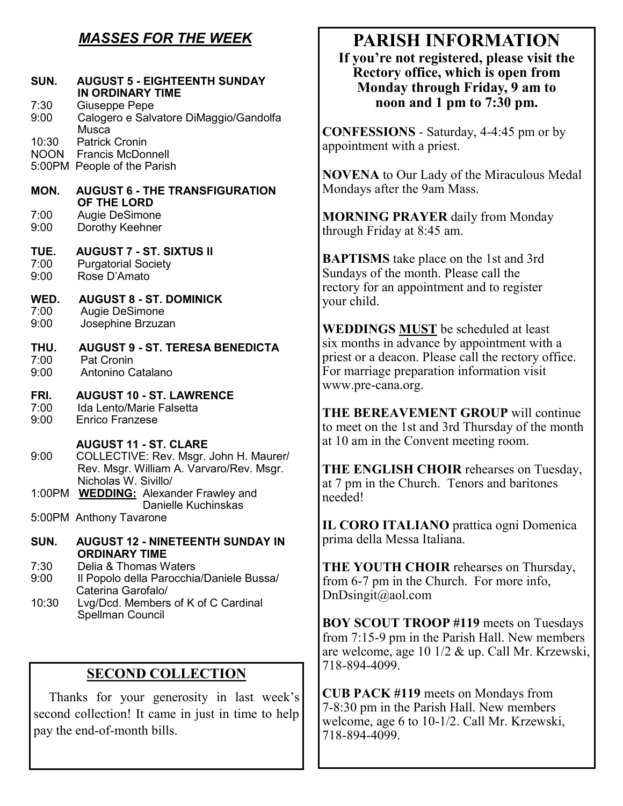## *MASSES FOR THE WEEK*

| SUN.                 | <b>AUGUST 5 - EIGHTEENTH SUNDAY</b><br><b>IN ORDINARY TIME</b>                                                                             |
|----------------------|--------------------------------------------------------------------------------------------------------------------------------------------|
| 7:30<br>9:00         | Giuseppe Pepe<br>Calogero e Salvatore DiMaggio/Gandolfa<br><b>Musca</b>                                                                    |
| 10:30                | <b>Patrick Cronin</b><br><b>NOON</b> Francis McDonnell<br>5:00PM People of the Parish                                                      |
| MON.                 | <b>AUGUST 6 - THE TRANSFIGURATION</b><br>OF THE LORD                                                                                       |
| 7:00<br>9:00         | Augie DeSimone<br>Dorothy Keehner                                                                                                          |
| TUE.<br>7:00<br>9:00 | <b>AUGUST 7 - ST. SIXTUS II</b><br><b>Purgatorial Society</b><br>Rose D'Amato                                                              |
| WED.<br>7:00<br>9:00 | <b>AUGUST 8 - ST. DOMINICK</b><br>Augie DeSimone<br>Josephine Brzuzan                                                                      |
| THU.<br>7:00<br>9:00 | <b>AUGUST 9 - ST. TERESA BENEDICTA</b><br><b>Pat Cronin</b><br>Antonino Catalano                                                           |
| FRI.<br>7:00<br>9:00 | <b>AUGUST 10 - ST. LAWRENCE</b><br>Ida Lento/Marie Falsetta<br><b>Enrico Franzese</b>                                                      |
| 9:00                 | <b>AUGUST 11 - ST. CLARE</b><br>COLLECTIVE: Rev. Msgr. John H. Maurer/<br>Rev. Msgr. William A. Varvaro/Rev. Msgr.<br>Nicholas W. Sivillo/ |
| 1:00PM               | <b>WEDDING:</b> Alexander Frawley and<br>Danielle Kuchinskas                                                                               |
|                      | 5:00PM Anthony Tavarone                                                                                                                    |
| SUN.                 | <b>AUGUST 12 - NINETEENTH SUNDAY IN</b><br><b>ORDINARY TIME</b>                                                                            |
| 7:30<br>9:00         | Delia & Thomas Waters<br>Il Popolo della Parocchia/Daniele Bussa/<br>Caterina Garofalo/                                                    |
| 10:30                | Lvg/Dcd. Members of K of C Cardinal<br>Spellman Council                                                                                    |

### **SECOND COLLECTION**

 Thanks for your generosity in last week's second collection! It came in just in time to help pay the end-of-month bills.

# **PARISH INFORMATION**

**If you're not registered, please visit the Rectory office, which is open from Monday through Friday, 9 am to noon and 1 pm to 7:30 pm.**

**CONFESSIONS** - Saturday, 4-4:45 pm or by appointment with a priest.

**NOVENA** to Our Lady of the Miraculous Medal Mondays after the 9am Mass.

**MORNING PRAYER** daily from Monday through Friday at 8:45 am.

**BAPTISMS** take place on the 1st and 3rd Sundays of the month. Please call the rectory for an appointment and to register your child.

**WEDDINGS MUST** be scheduled at least six months in advance by appointment with a priest or a deacon. Please call the rectory office. For marriage preparation information visit www.pre-cana.org.

**THE BEREAVEMENT GROUP** will continue to meet on the 1st and 3rd Thursday of the month at 10 am in the Convent meeting room.

**THE ENGLISH CHOIR** rehearses on Tuesday, at 7 pm in the Church. Tenors and baritones needed!

**IL CORO ITALIANO** prattica ogni Domenica prima della Messa Italiana.

**THE YOUTH CHOIR** rehearses on Thursday, from 6-7 pm in the Church. For more info, DnDsingit@aol.com

**BOY SCOUT TROOP #119** meets on Tuesdays from 7:15-9 pm in the Parish Hall. New members are welcome, age 10 1/2 & up. Call Mr. Krzewski, 718-894-4099.

**CUB PACK #119** meets on Mondays from 7-8:30 pm in the Parish Hall. New members welcome, age 6 to 10-1/2. Call Mr. Krzewski, 718-894-4099.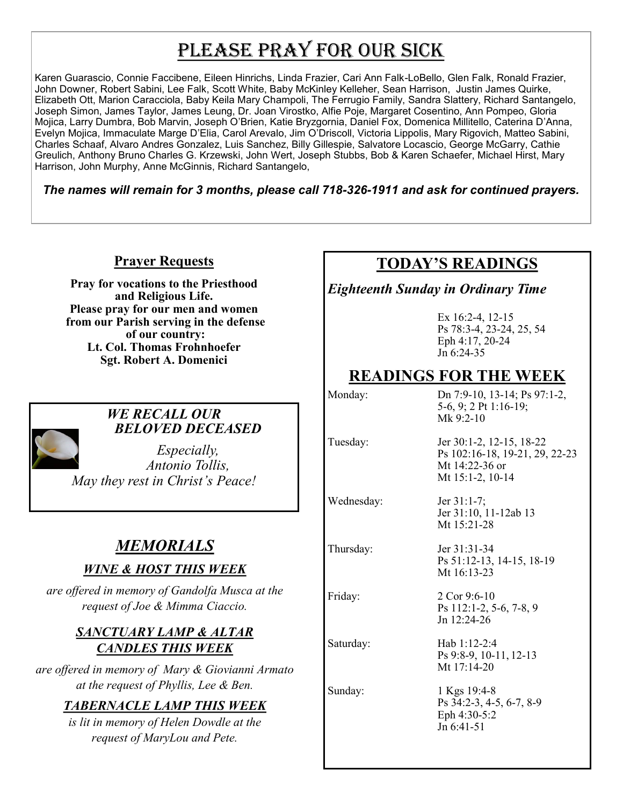# PLEASE PRAY FOR OUR SICK

Karen Guarascio, Connie Faccibene, Eileen Hinrichs, Linda Frazier, Cari Ann Falk-LoBello, Glen Falk, Ronald Frazier, John Downer, Robert Sabini, Lee Falk, Scott White, Baby McKinley Kelleher, Sean Harrison, Justin James Quirke, Elizabeth Ott, Marion Caracciola, Baby Keila Mary Champoli, The Ferrugio Family, Sandra Slattery, Richard Santangelo, Joseph Simon, James Taylor, James Leung, Dr. Joan Virostko, Alfie Poje, Margaret Cosentino, Ann Pompeo, Gloria Mojica, Larry Dumbra, Bob Marvin, Joseph O'Brien, Katie Bryzgornia, Daniel Fox, Domenica Millitello, Caterina D'Anna, Evelyn Mojica, Immaculate Marge D'Elia, Carol Arevalo, Jim O'Driscoll, Victoria Lippolis, Mary Rigovich, Matteo Sabini, Charles Schaaf, Alvaro Andres Gonzalez, Luis Sanchez, Billy Gillespie, Salvatore Locascio, George McGarry, Cathie Greulich, Anthony Bruno Charles G. Krzewski, John Wert, Joseph Stubbs, Bob & Karen Schaefer, Michael Hirst, Mary Harrison, John Murphy, Anne McGinnis, Richard Santangelo,

*The names will remain for 3 months, please call 718-326-1911 and ask for continued prayers.*

#### **Prayer Requests**

**Pray for vocations to the Priesthood and Religious Life. Please pray for our men and women from our Parish serving in the defense of our country: Lt. Col. Thomas Frohnhoefer Sgt. Robert A. Domenici** 



#### *WE RECALL OUR BELOVED DECEASED*

*Especially, Antonio Tollis, May they rest in Christ's Peace!*

# *MEMORIALS*

### *WINE & HOST THIS WEEK*

*are offered in memory of Gandolfa Musca at the request of Joe & Mimma Ciaccio.* 

#### *SANCTUARY LAMP & ALTAR CANDLES THIS WEEK*

*are offered in memory of Mary & Giovianni Armato at the request of Phyllis, Lee & Ben.* 

### *TABERNACLE LAMP THIS WEEK*

*is lit in memory of Helen Dowdle at the request of MaryLou and Pete.*

## **TODAY'S READINGS**

*Eighteenth Sunday in Ordinary Time*

Ex 16:2-4, 12-15 Ps 78:3-4, 23-24, 25, 54 Eph 4:17, 20-24 Jn 6:24-35

## **READINGS FOR THE WEEK**

Monday: Dn 7:9-10, 13-14; Ps 97:1-2, 5-6, 9; 2 Pt 1:16-19; Mk 9:2-10

Tuesday: Jer 30:1-2, 12-15, 18-22

Wednesday: Jer 31:1-7; Jer 31:10, 11-12ab 13 Mt 15:21-28

Mt 14:22-36 or Mt 15:1-2, 10-14

Ps 102:16-18, 19-21, 29, 22-23

Thursday: Jer 31:31-34 Ps 51:12-13, 14-15, 18-19 Mt 16:13-23

Friday: 2 Cor 9:6-10 Ps 112:1-2, 5-6, 7-8, 9 Jn 12:24-26

Saturday: Hab 1:12-2:4 Ps 9:8-9, 10-11, 12-13 Mt 17:14-20

Sunday: 1 Kgs 19:4-8 Ps 34:2-3, 4-5, 6-7, 8-9 Eph 4:30-5:2 Jn 6:41-51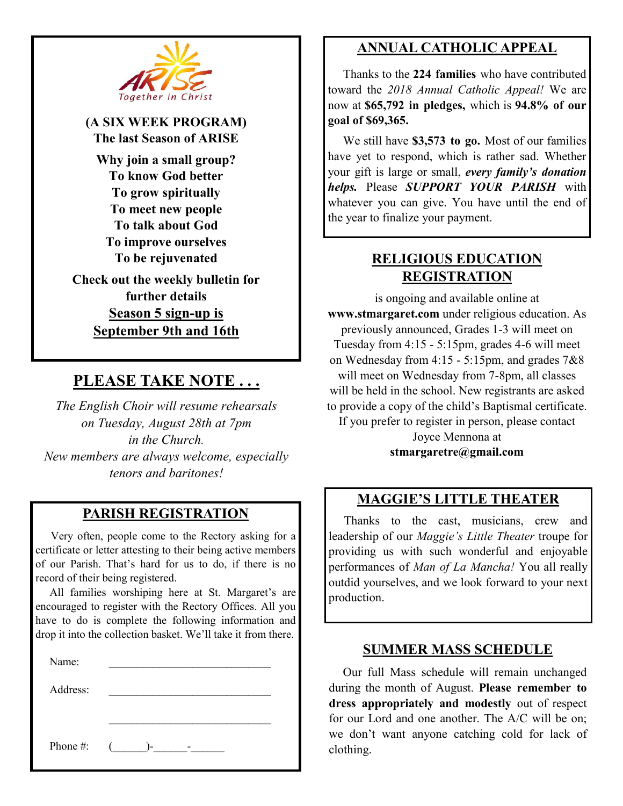

**(A SIX WEEK PROGRAM) The last Season of ARISE Why join a small group? To know God better To grow spiritually To meet new people To talk about God To improve ourselves To be rejuvenated Check out the weekly bulletin for further details Season 5 sign-up is September 9th and 16th**

## **PLEASE TAKE NOTE . . .**

*The English Choir will resume rehearsals on Tuesday, August 28th at 7pm in the Church. New members are always welcome, especially tenors and baritones!*

### **PARISH REGISTRATION**

 Very often, people come to the Rectory asking for a certificate or letter attesting to their being active members of our Parish. That's hard for us to do, if there is no record of their being registered.

 All families worshiping here at St. Margaret's are encouraged to register with the Rectory Offices. All you have to do is complete the following information and drop it into the collection basket. We'll take it from there.

| У<br>amer : |  |
|-------------|--|
|             |  |

Address:

Phone #:  $(\_\_\_\_\_\_$ 

## **ANNUAL CATHOLIC APPEAL**

 Thanks to the **224 families** who have contributed toward the *2018 Annual Catholic Appeal!* We are now at **\$65,792 in pledges,** which is **94.8% of our goal of \$69,365.** 

We still have \$3,573 to go. Most of our families have yet to respond, which is rather sad. Whether your gift is large or small, *every family's donation helps.* Please *SUPPORT YOUR PARISH* with whatever you can give. You have until the end of the year to finalize your payment.

## **RELIGIOUS EDUCATION REGISTRATION**

is ongoing and available online at **www.stmargaret.com** under religious education. As previously announced, Grades 1-3 will meet on Tuesday from 4:15 - 5:15pm, grades 4-6 will meet on Wednesday from 4:15 - 5:15pm, and grades 7&8 will meet on Wednesday from 7-8pm, all classes will be held in the school. New registrants are asked to provide a copy of the child's Baptismal certificate. If you prefer to register in person, please contact Joyce Mennona at **stmargaretre@gmail.com**

### **MAGGIE'S LITTLE THEATER**

 Thanks to the cast, musicians, crew and leadership of our *Maggie's Little Theater* troupe for providing us with such wonderful and enjoyable performances of *Man of La Mancha!* You all really outdid yourselves, and we look forward to your next production.

#### **SUMMER MASS SCHEDULE**

 Our full Mass schedule will remain unchanged during the month of August. **Please remember to dress appropriately and modestly** out of respect for our Lord and one another. The A/C will be on; we don't want anyone catching cold for lack of clothing.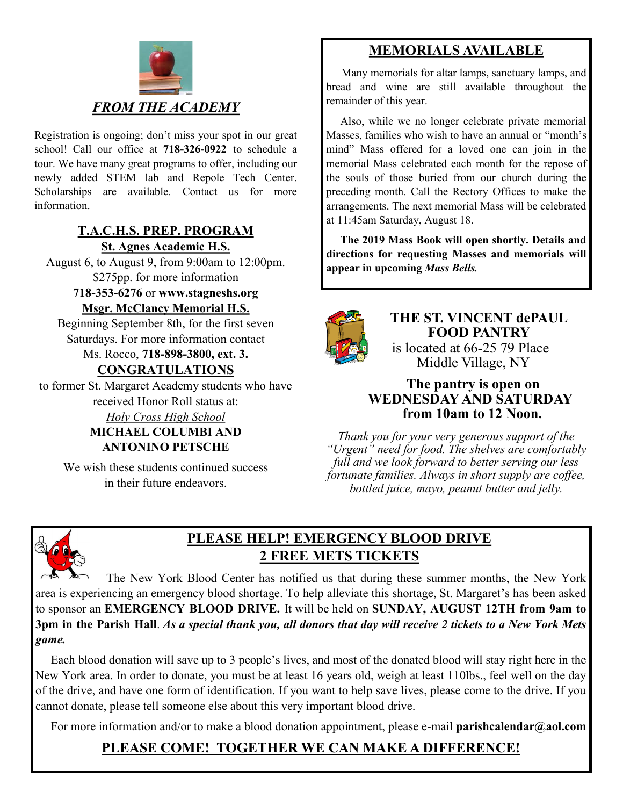

Registration is ongoing; don't miss your spot in our great school! Call our office at **718-326-0922** to schedule a tour. We have many great programs to offer, including our newly added STEM lab and Repole Tech Center. Scholarships are available. Contact us for more information.

#### **T.A.C.H.S. PREP. PROGRAM St. Agnes Academic H.S.**

August 6, to August 9, from 9:00am to 12:00pm. \$275pp. for more information

**718-353-6276** or **www.stagneshs.org Msgr. McClancy Memorial H.S.**

Beginning September 8th, for the first seven Saturdays. For more information contact

# Ms. Rocco, **718-898-3800, ext. 3.**

**CONGRATULATIONS**

to former St. Margaret Academy students who have received Honor Roll status at:

> *Holy Cross High School* **MICHAEL COLUMBI AND ANTONINO PETSCHE**

We wish these students continued success in their future endeavors.

## **MEMORIALS AVAILABLE**

Many memorials for altar lamps, sanctuary lamps, and bread and wine are still available throughout the remainder of this year.

 Also, while we no longer celebrate private memorial Masses, families who wish to have an annual or "month's mind" Mass offered for a loved one can join in the memorial Mass celebrated each month for the repose of the souls of those buried from our church during the preceding month. Call the Rectory Offices to make the arrangements. The next memorial Mass will be celebrated at 11:45am Saturday, August 18.

 **The 2019 Mass Book will open shortly. Details and directions for requesting Masses and memorials will appear in upcoming** *Mass Bells.* 



**THE ST. VINCENT dePAUL FOOD PANTRY** is located at 66-25 79 Place Middle Village, NY

#### **The pantry is open on WEDNESDAY AND SATURDAY from 10am to 12 Noon.**

*Thank you for your very generous support of the "Urgent" need for food. The shelves are comfortably full and we look forward to better serving our less fortunate families. Always in short supply are coffee, bottled juice, mayo, peanut butter and jelly.*



## **PLEASE HELP! EMERGENCY BLOOD DRIVE 2 FREE METS TICKETS**

 The New York Blood Center has notified us that during these summer months, the New York area is experiencing an emergency blood shortage. To help alleviate this shortage, St. Margaret's has been asked to sponsor an **EMERGENCY BLOOD DRIVE.** It will be held on **SUNDAY, AUGUST 12TH from 9am to 3pm in the Parish Hall**. *As a special thank you, all donors that day will receive 2 tickets to a New York Mets game.*

 Each blood donation will save up to 3 people's lives, and most of the donated blood will stay right here in the New York area. In order to donate, you must be at least 16 years old, weigh at least 110lbs., feel well on the day of the drive, and have one form of identification. If you want to help save lives, please come to the drive. If you cannot donate, please tell someone else about this very important blood drive.

For more information and/or to make a blood donation appointment, please e-mail **parishcalendar@aol.com**

## **PLEASE COME! TOGETHER WE CAN MAKE A DIFFERENCE!**